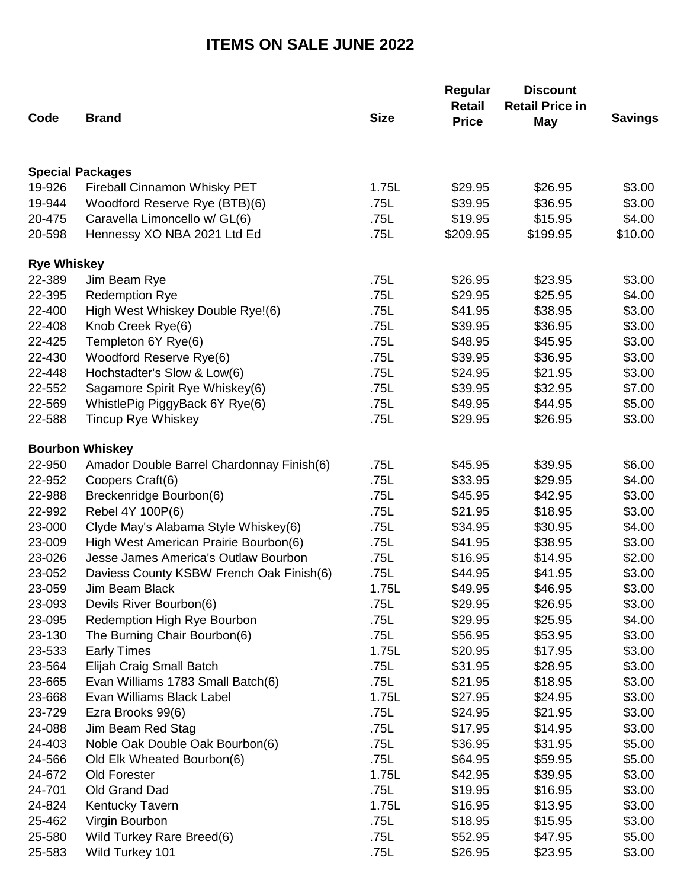## **ITEMS ON SALE JUNE 2022**

| Code                    | <b>Brand</b>                              | <b>Size</b> | Regular<br><b>Retail</b><br><b>Price</b> | <b>Discount</b><br><b>Retail Price in</b><br><b>May</b> | <b>Savings</b> |
|-------------------------|-------------------------------------------|-------------|------------------------------------------|---------------------------------------------------------|----------------|
|                         |                                           |             |                                          |                                                         |                |
| <b>Special Packages</b> |                                           |             |                                          |                                                         |                |
| 19-926                  | Fireball Cinnamon Whisky PET              | 1.75L       | \$29.95                                  | \$26.95                                                 | \$3.00         |
| 19-944                  | Woodford Reserve Rye (BTB)(6)             | .75L        | \$39.95                                  | \$36.95                                                 | \$3.00         |
| 20-475                  | Caravella Limoncello w/ GL(6)             | .75L        | \$19.95                                  | \$15.95                                                 | \$4.00         |
| 20-598                  | Hennessy XO NBA 2021 Ltd Ed               | .75L        | \$209.95                                 | \$199.95                                                | \$10.00        |
| <b>Rye Whiskey</b>      |                                           |             |                                          |                                                         |                |
| 22-389                  | Jim Beam Rye                              | .75L        | \$26.95                                  | \$23.95                                                 | \$3.00         |
| 22-395                  | <b>Redemption Rye</b>                     | .75L        | \$29.95                                  | \$25.95                                                 | \$4.00         |
| 22-400                  | High West Whiskey Double Rye!(6)          | .75L        | \$41.95                                  | \$38.95                                                 | \$3.00         |
| 22-408                  | Knob Creek Rye(6)                         | .75L        | \$39.95                                  | \$36.95                                                 | \$3.00         |
| 22-425                  | Templeton 6Y Rye(6)                       | .75L        | \$48.95                                  | \$45.95                                                 | \$3.00         |
| 22-430                  | Woodford Reserve Rye(6)                   | .75L        | \$39.95                                  | \$36.95                                                 | \$3.00         |
| 22-448                  | Hochstadter's Slow & Low(6)               | .75L        | \$24.95                                  | \$21.95                                                 | \$3.00         |
| 22-552                  | Sagamore Spirit Rye Whiskey(6)            | .75L        | \$39.95                                  | \$32.95                                                 | \$7.00         |
| 22-569                  | WhistlePig PiggyBack 6Y Rye(6)            | .75L        | \$49.95                                  | \$44.95                                                 | \$5.00         |
| 22-588                  | <b>Tincup Rye Whiskey</b>                 | .75L        | \$29.95                                  | \$26.95                                                 | \$3.00         |
| <b>Bourbon Whiskey</b>  |                                           |             |                                          |                                                         |                |
| 22-950                  | Amador Double Barrel Chardonnay Finish(6) | .75L        | \$45.95                                  | \$39.95                                                 | \$6.00         |
| 22-952                  | Coopers Craft(6)                          | .75L        | \$33.95                                  | \$29.95                                                 | \$4.00         |
| 22-988                  | Breckenridge Bourbon(6)                   | .75L        | \$45.95                                  | \$42.95                                                 | \$3.00         |
| 22-992                  | Rebel 4Y 100P(6)                          | .75L        | \$21.95                                  | \$18.95                                                 | \$3.00         |
| 23-000                  | Clyde May's Alabama Style Whiskey(6)      | .75L        | \$34.95                                  | \$30.95                                                 | \$4.00         |
| 23-009                  | High West American Prairie Bourbon(6)     | .75L        | \$41.95                                  | \$38.95                                                 | \$3.00         |
| 23-026                  | Jesse James America's Outlaw Bourbon      | .75L        | \$16.95                                  | \$14.95                                                 | \$2.00         |
| 23-052                  | Daviess County KSBW French Oak Finish(6)  | .75L        | \$44.95                                  | \$41.95                                                 | \$3.00         |
| 23-059                  | Jim Beam Black                            | 1.75L       | \$49.95                                  | \$46.95                                                 | \$3.00         |
| 23-093                  | Devils River Bourbon(6)                   | .75L        | \$29.95                                  | \$26.95                                                 | \$3.00         |
| 23-095                  | Redemption High Rye Bourbon               | .75L        | \$29.95                                  | \$25.95                                                 | \$4.00         |
| 23-130                  | The Burning Chair Bourbon(6)              | .75L        | \$56.95                                  | \$53.95                                                 | \$3.00         |
| 23-533                  | <b>Early Times</b>                        | 1.75L       | \$20.95                                  | \$17.95                                                 | \$3.00         |
| 23-564                  | Elijah Craig Small Batch                  | .75L        | \$31.95                                  | \$28.95                                                 | \$3.00         |
| 23-665                  | Evan Williams 1783 Small Batch(6)         | .75L        | \$21.95                                  | \$18.95                                                 | \$3.00         |
| 23-668                  | Evan Williams Black Label                 | 1.75L       | \$27.95                                  | \$24.95                                                 | \$3.00         |
| 23-729                  | Ezra Brooks 99(6)                         | .75L        | \$24.95                                  | \$21.95                                                 | \$3.00         |
| 24-088                  | Jim Beam Red Stag                         | .75L        | \$17.95                                  | \$14.95                                                 | \$3.00         |
| 24-403                  | Noble Oak Double Oak Bourbon(6)           | .75L        | \$36.95                                  | \$31.95                                                 | \$5.00         |
| 24-566                  | Old Elk Wheated Bourbon(6)                | .75L        | \$64.95                                  | \$59.95                                                 | \$5.00         |
| 24-672                  | Old Forester                              | 1.75L       | \$42.95                                  | \$39.95                                                 | \$3.00         |
| 24-701                  | Old Grand Dad                             | .75L        | \$19.95                                  | \$16.95                                                 | \$3.00         |
| 24-824                  | <b>Kentucky Tavern</b>                    | 1.75L       | \$16.95                                  | \$13.95                                                 | \$3.00         |
| 25-462                  | Virgin Bourbon                            | .75L        | \$18.95                                  | \$15.95                                                 | \$3.00         |
| 25-580                  | Wild Turkey Rare Breed(6)                 | .75L        | \$52.95                                  | \$47.95                                                 | \$5.00         |
| 25-583                  | Wild Turkey 101                           | .75L        | \$26.95                                  | \$23.95                                                 | \$3.00         |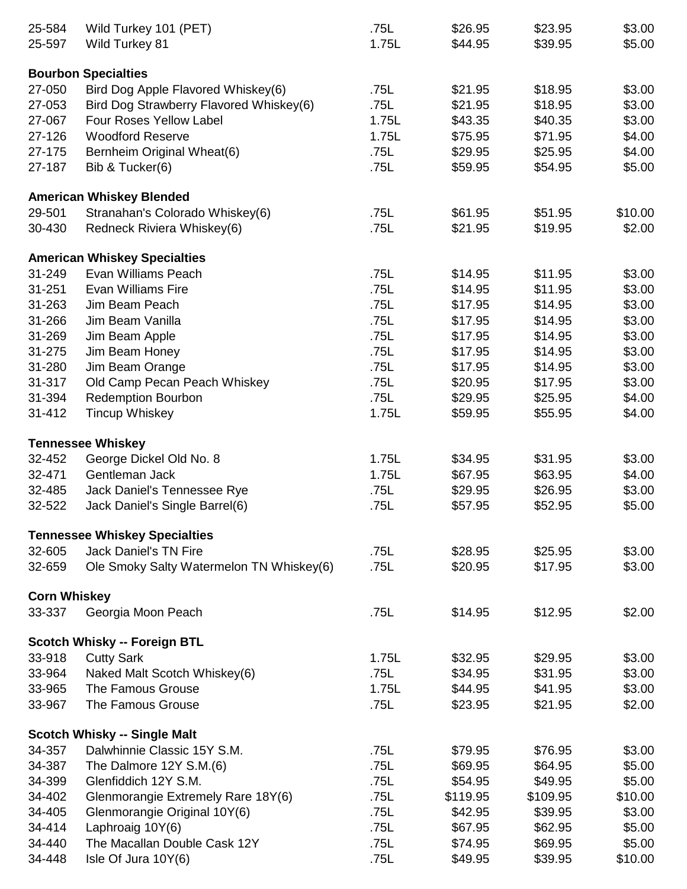| 25-584              | Wild Turkey 101 (PET)                    | .75L  | \$26.95  | \$23.95  | \$3.00  |
|---------------------|------------------------------------------|-------|----------|----------|---------|
| 25-597              | Wild Turkey 81                           | 1.75L | \$44.95  | \$39.95  | \$5.00  |
|                     |                                          |       |          |          |         |
|                     | <b>Bourbon Specialties</b>               |       |          |          |         |
| 27-050              | Bird Dog Apple Flavored Whiskey(6)       | .75L  | \$21.95  | \$18.95  | \$3.00  |
| 27-053              | Bird Dog Strawberry Flavored Whiskey(6)  | .75L  | \$21.95  | \$18.95  | \$3.00  |
| 27-067              | Four Roses Yellow Label                  | 1.75L | \$43.35  | \$40.35  | \$3.00  |
| 27-126              | <b>Woodford Reserve</b>                  | 1.75L | \$75.95  | \$71.95  | \$4.00  |
| 27-175              | Bernheim Original Wheat(6)               | .75L  | \$29.95  | \$25.95  | \$4.00  |
| 27-187              | Bib & Tucker(6)                          | .75L  | \$59.95  | \$54.95  | \$5.00  |
|                     | <b>American Whiskey Blended</b>          |       |          |          |         |
| 29-501              | Stranahan's Colorado Whiskey(6)          | .75L  | \$61.95  | \$51.95  | \$10.00 |
| 30-430              | Redneck Riviera Whiskey(6)               | .75L  | \$21.95  | \$19.95  | \$2.00  |
|                     | <b>American Whiskey Specialties</b>      |       |          |          |         |
| 31-249              | Evan Williams Peach                      | .75L  | \$14.95  | \$11.95  | \$3.00  |
| 31-251              | <b>Evan Williams Fire</b>                | .75L  | \$14.95  | \$11.95  | \$3.00  |
| 31-263              | Jim Beam Peach                           | .75L  | \$17.95  | \$14.95  | \$3.00  |
| 31-266              | Jim Beam Vanilla                         | .75L  | \$17.95  | \$14.95  | \$3.00  |
| 31-269              | Jim Beam Apple                           | .75L  | \$17.95  | \$14.95  | \$3.00  |
| 31-275              | Jim Beam Honey                           | .75L  | \$17.95  | \$14.95  | \$3.00  |
| 31-280              | Jim Beam Orange                          | .75L  | \$17.95  | \$14.95  | \$3.00  |
| 31-317              | Old Camp Pecan Peach Whiskey             | .75L  | \$20.95  | \$17.95  | \$3.00  |
| 31-394              |                                          |       |          |          |         |
|                     | Redemption Bourbon                       | .75L  | \$29.95  | \$25.95  | \$4.00  |
| 31-412              | <b>Tincup Whiskey</b>                    | 1.75L | \$59.95  | \$55.95  | \$4.00  |
|                     | <b>Tennessee Whiskey</b>                 |       |          |          |         |
| 32-452              | George Dickel Old No. 8                  | 1.75L | \$34.95  | \$31.95  | \$3.00  |
| 32-471              | Gentleman Jack                           | 1.75L | \$67.95  | \$63.95  | \$4.00  |
| 32-485              | Jack Daniel's Tennessee Rye              | .75L  | \$29.95  | \$26.95  | \$3.00  |
| 32-522              | Jack Daniel's Single Barrel(6)           | .75L  | \$57.95  | \$52.95  | \$5.00  |
|                     | <b>Tennessee Whiskey Specialties</b>     |       |          |          |         |
| 32-605              | <b>Jack Daniel's TN Fire</b>             | .75L  | \$28.95  | \$25.95  | \$3.00  |
| 32-659              | Ole Smoky Salty Watermelon TN Whiskey(6) | .75L  | \$20.95  | \$17.95  | \$3.00  |
|                     |                                          |       |          |          |         |
| <b>Corn Whiskey</b> |                                          |       |          |          |         |
| 33-337              | Georgia Moon Peach                       | .75L  | \$14.95  | \$12.95  | \$2.00  |
|                     | <b>Scotch Whisky -- Foreign BTL</b>      |       |          |          |         |
| 33-918              | <b>Cutty Sark</b>                        | 1.75L | \$32.95  | \$29.95  | \$3.00  |
| 33-964              | Naked Malt Scotch Whiskey(6)             | .75L  | \$34.95  | \$31.95  | \$3.00  |
| 33-965              | The Famous Grouse                        | 1.75L | \$44.95  | \$41.95  | \$3.00  |
| 33-967              | The Famous Grouse                        | .75L  | \$23.95  | \$21.95  | \$2.00  |
|                     | <b>Scotch Whisky -- Single Malt</b>      |       |          |          |         |
| 34-357              | Dalwhinnie Classic 15Y S.M.              | .75L  | \$79.95  | \$76.95  | \$3.00  |
| 34-387              | The Dalmore 12Y S.M.(6)                  | .75L  | \$69.95  | \$64.95  | \$5.00  |
| 34-399              | Glenfiddich 12Y S.M.                     | .75L  | \$54.95  | \$49.95  | \$5.00  |
| 34-402              | Glenmorangie Extremely Rare 18Y(6)       | .75L  | \$119.95 | \$109.95 | \$10.00 |
| 34-405              | Glenmorangie Original 10Y(6)             | .75L  | \$42.95  | \$39.95  | \$3.00  |
| 34-414              | Laphroaig 10Y(6)                         | .75L  | \$67.95  | \$62.95  | \$5.00  |
| 34-440              | The Macallan Double Cask 12Y             | .75L  | \$74.95  | \$69.95  | \$5.00  |
| 34-448              | Isle Of Jura 10Y(6)                      | .75L  | \$49.95  | \$39.95  | \$10.00 |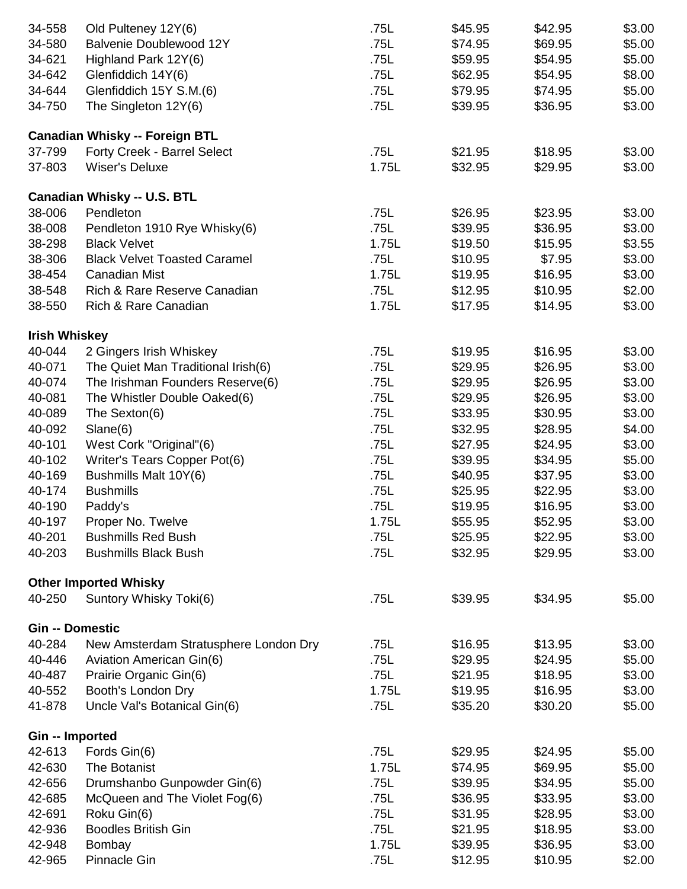| 34-558                 | Old Pulteney 12Y(6)                   | .75L  | \$45.95 | \$42.95 | \$3.00 |
|------------------------|---------------------------------------|-------|---------|---------|--------|
| 34-580                 | Balvenie Doublewood 12Y               | .75L  | \$74.95 | \$69.95 | \$5.00 |
| 34-621                 | Highland Park 12Y(6)                  | .75L  | \$59.95 | \$54.95 | \$5.00 |
| 34-642                 | Glenfiddich 14Y(6)                    | .75L  | \$62.95 | \$54.95 | \$8.00 |
| 34-644                 | Glenfiddich 15Y S.M.(6)               | .75L  | \$79.95 | \$74.95 | \$5.00 |
| 34-750                 | The Singleton 12Y(6)                  | .75L  | \$39.95 | \$36.95 | \$3.00 |
|                        |                                       |       |         |         |        |
|                        | <b>Canadian Whisky -- Foreign BTL</b> |       |         |         |        |
| 37-799                 | Forty Creek - Barrel Select           | .75L  | \$21.95 | \$18.95 | \$3.00 |
| 37-803                 | <b>Wiser's Deluxe</b>                 | 1.75L | \$32.95 | \$29.95 | \$3.00 |
|                        | <b>Canadian Whisky -- U.S. BTL</b>    |       |         |         |        |
| 38-006                 | Pendleton                             | .75L  | \$26.95 | \$23.95 | \$3.00 |
| 38-008                 | Pendleton 1910 Rye Whisky(6)          | .75L  | \$39.95 | \$36.95 | \$3.00 |
| 38-298                 | <b>Black Velvet</b>                   | 1.75L | \$19.50 | \$15.95 | \$3.55 |
| 38-306                 | <b>Black Velvet Toasted Caramel</b>   | .75L  | \$10.95 | \$7.95  | \$3.00 |
| 38-454                 | <b>Canadian Mist</b>                  | 1.75L |         | \$16.95 | \$3.00 |
|                        |                                       |       | \$19.95 |         |        |
| 38-548                 | Rich & Rare Reserve Canadian          | .75L  | \$12.95 | \$10.95 | \$2.00 |
| 38-550                 | Rich & Rare Canadian                  | 1.75L | \$17.95 | \$14.95 | \$3.00 |
| <b>Irish Whiskey</b>   |                                       |       |         |         |        |
| 40-044                 | 2 Gingers Irish Whiskey               | .75L  | \$19.95 | \$16.95 | \$3.00 |
| 40-071                 | The Quiet Man Traditional Irish(6)    | .75L  | \$29.95 | \$26.95 | \$3.00 |
| 40-074                 | The Irishman Founders Reserve(6)      | .75L  | \$29.95 | \$26.95 | \$3.00 |
| 40-081                 | The Whistler Double Oaked(6)          | .75L  | \$29.95 | \$26.95 | \$3.00 |
| 40-089                 | The Sexton(6)                         | .75L  | \$33.95 | \$30.95 | \$3.00 |
| 40-092                 | Slane(6)                              | .75L  | \$32.95 | \$28.95 | \$4.00 |
| 40-101                 | West Cork "Original"(6)               | .75L  | \$27.95 | \$24.95 | \$3.00 |
| 40-102                 | Writer's Tears Copper Pot(6)          | .75L  | \$39.95 | \$34.95 | \$5.00 |
| 40-169                 | Bushmills Malt 10Y(6)                 | .75L  | \$40.95 | \$37.95 | \$3.00 |
| 40-174                 | <b>Bushmills</b>                      | .75L  | \$25.95 | \$22.95 | \$3.00 |
| 40-190                 | Paddy's                               | .75L  | \$19.95 | \$16.95 | \$3.00 |
| 40-197                 | Proper No. Twelve                     | 1.75L | \$55.95 | \$52.95 | \$3.00 |
| 40-201                 | <b>Bushmills Red Bush</b>             | .75L  | \$25.95 |         |        |
|                        |                                       |       |         | \$22.95 | \$3.00 |
| 40-203                 | <b>Bushmills Black Bush</b>           | .75L  | \$32.95 | \$29.95 | \$3.00 |
|                        | <b>Other Imported Whisky</b>          |       |         |         |        |
| 40-250                 | Suntory Whisky Toki(6)                | .75L  | \$39.95 | \$34.95 | \$5.00 |
| <b>Gin -- Domestic</b> |                                       |       |         |         |        |
| 40-284                 | New Amsterdam Stratusphere London Dry | .75L  | \$16.95 | \$13.95 | \$3.00 |
| 40-446                 | Aviation American Gin(6)              | .75L  | \$29.95 | \$24.95 | \$5.00 |
| 40-487                 | Prairie Organic Gin(6)                | .75L  | \$21.95 | \$18.95 | \$3.00 |
| 40-552                 | Booth's London Dry                    | 1.75L | \$19.95 | \$16.95 | \$3.00 |
| 41-878                 | Uncle Val's Botanical Gin(6)          | .75L  | \$35.20 | \$30.20 | \$5.00 |
|                        |                                       |       |         |         |        |
| Gin -- Imported        |                                       |       |         |         |        |
| 42-613                 | Fords Gin(6)                          | .75L  | \$29.95 | \$24.95 | \$5.00 |
| 42-630                 | The Botanist                          | 1.75L | \$74.95 | \$69.95 | \$5.00 |
| 42-656                 | Drumshanbo Gunpowder Gin(6)           | .75L  | \$39.95 | \$34.95 | \$5.00 |
| 42-685                 | McQueen and The Violet Fog(6)         | .75L  | \$36.95 | \$33.95 | \$3.00 |
| 42-691                 | Roku Gin(6)                           | .75L  | \$31.95 | \$28.95 | \$3.00 |
| 42-936                 | <b>Boodles British Gin</b>            | .75L  | \$21.95 | \$18.95 | \$3.00 |
| 42-948                 | Bombay                                | 1.75L | \$39.95 | \$36.95 | \$3.00 |
| 42-965                 | <b>Pinnacle Gin</b>                   | .75L  | \$12.95 | \$10.95 | \$2.00 |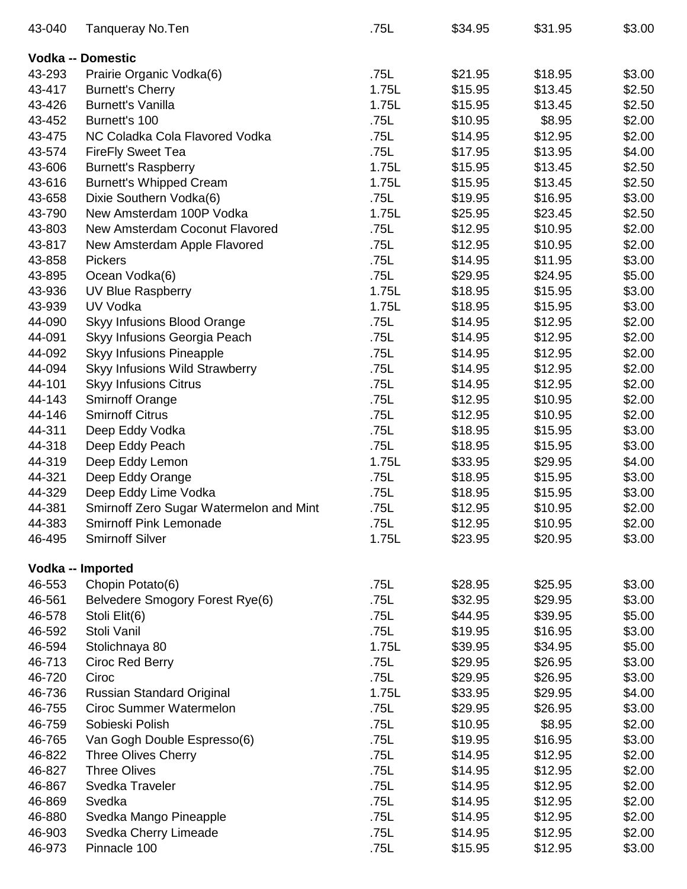| 43-040 | <b>Tanqueray No.Ten</b>                 | .75L  | \$34.95 | \$31.95 | \$3.00 |
|--------|-----------------------------------------|-------|---------|---------|--------|
|        | <b>Vodka -- Domestic</b>                |       |         |         |        |
| 43-293 | Prairie Organic Vodka(6)                | .75L  | \$21.95 | \$18.95 | \$3.00 |
| 43-417 | <b>Burnett's Cherry</b>                 | 1.75L | \$15.95 | \$13.45 | \$2.50 |
| 43-426 | <b>Burnett's Vanilla</b>                | 1.75L | \$15.95 | \$13.45 | \$2.50 |
| 43-452 | Burnett's 100                           | .75L  | \$10.95 | \$8.95  | \$2.00 |
| 43-475 | NC Coladka Cola Flavored Vodka          | .75L  | \$14.95 | \$12.95 | \$2.00 |
| 43-574 | <b>FireFly Sweet Tea</b>                | .75L  | \$17.95 | \$13.95 | \$4.00 |
| 43-606 | <b>Burnett's Raspberry</b>              | 1.75L | \$15.95 | \$13.45 | \$2.50 |
| 43-616 | <b>Burnett's Whipped Cream</b>          | 1.75L | \$15.95 | \$13.45 | \$2.50 |
| 43-658 | Dixie Southern Vodka(6)                 | .75L  | \$19.95 | \$16.95 | \$3.00 |
| 43-790 | New Amsterdam 100P Vodka                | 1.75L | \$25.95 | \$23.45 | \$2.50 |
| 43-803 | New Amsterdam Coconut Flavored          | .75L  | \$12.95 | \$10.95 | \$2.00 |
| 43-817 | New Amsterdam Apple Flavored            | .75L  | \$12.95 | \$10.95 | \$2.00 |
| 43-858 | <b>Pickers</b>                          | .75L  | \$14.95 | \$11.95 | \$3.00 |
| 43-895 | Ocean Vodka(6)                          | .75L  | \$29.95 | \$24.95 | \$5.00 |
| 43-936 | UV Blue Raspberry                       | 1.75L | \$18.95 | \$15.95 | \$3.00 |
| 43-939 | UV Vodka                                | 1.75L | \$18.95 | \$15.95 | \$3.00 |
| 44-090 | <b>Skyy Infusions Blood Orange</b>      | .75L  | \$14.95 | \$12.95 | \$2.00 |
| 44-091 | Skyy Infusions Georgia Peach            | .75L  | \$14.95 | \$12.95 | \$2.00 |
| 44-092 | <b>Skyy Infusions Pineapple</b>         | .75L  | \$14.95 | \$12.95 | \$2.00 |
| 44-094 | Skyy Infusions Wild Strawberry          | .75L  | \$14.95 | \$12.95 | \$2.00 |
| 44-101 | <b>Skyy Infusions Citrus</b>            | .75L  | \$14.95 | \$12.95 | \$2.00 |
| 44-143 | <b>Smirnoff Orange</b>                  | .75L  | \$12.95 | \$10.95 | \$2.00 |
| 44-146 | <b>Smirnoff Citrus</b>                  | .75L  | \$12.95 | \$10.95 | \$2.00 |
| 44-311 | Deep Eddy Vodka                         | .75L  | \$18.95 | \$15.95 | \$3.00 |
| 44-318 | Deep Eddy Peach                         | .75L  | \$18.95 | \$15.95 | \$3.00 |
| 44-319 | Deep Eddy Lemon                         | 1.75L | \$33.95 | \$29.95 | \$4.00 |
| 44-321 | Deep Eddy Orange                        | .75L  | \$18.95 | \$15.95 | \$3.00 |
| 44-329 | Deep Eddy Lime Vodka                    | .75L  | \$18.95 | \$15.95 | \$3.00 |
| 44-381 | Smirnoff Zero Sugar Watermelon and Mint | .75L  | \$12.95 | \$10.95 | \$2.00 |
| 44-383 | <b>Smirnoff Pink Lemonade</b>           | .75L  | \$12.95 | \$10.95 | \$2.00 |
| 46-495 | <b>Smirnoff Silver</b>                  | 1.75L | \$23.95 | \$20.95 | \$3.00 |
|        | Vodka -- Imported                       |       |         |         |        |
| 46-553 | Chopin Potato(6)                        | .75L  | \$28.95 | \$25.95 | \$3.00 |
| 46-561 | Belvedere Smogory Forest Rye(6)         | .75L  | \$32.95 | \$29.95 | \$3.00 |
| 46-578 | Stoli Elit(6)                           | .75L  | \$44.95 | \$39.95 | \$5.00 |
| 46-592 | Stoli Vanil                             | .75L  | \$19.95 | \$16.95 | \$3.00 |
| 46-594 | Stolichnaya 80                          | 1.75L | \$39.95 | \$34.95 | \$5.00 |
| 46-713 | Ciroc Red Berry                         | .75L  | \$29.95 | \$26.95 | \$3.00 |
| 46-720 | Ciroc                                   | .75L  | \$29.95 | \$26.95 | \$3.00 |
| 46-736 | Russian Standard Original               | 1.75L | \$33.95 | \$29.95 | \$4.00 |
| 46-755 | <b>Ciroc Summer Watermelon</b>          | .75L  | \$29.95 | \$26.95 | \$3.00 |
| 46-759 | Sobieski Polish                         | .75L  | \$10.95 | \$8.95  | \$2.00 |
| 46-765 | Van Gogh Double Espresso(6)             | .75L  | \$19.95 | \$16.95 | \$3.00 |
| 46-822 | <b>Three Olives Cherry</b>              | .75L  | \$14.95 | \$12.95 | \$2.00 |
| 46-827 | <b>Three Olives</b>                     | .75L  | \$14.95 | \$12.95 | \$2.00 |
| 46-867 | Svedka Traveler                         | .75L  | \$14.95 | \$12.95 | \$2.00 |
| 46-869 | Svedka                                  | .75L  | \$14.95 | \$12.95 | \$2.00 |
| 46-880 | Svedka Mango Pineapple                  | .75L  | \$14.95 | \$12.95 | \$2.00 |
| 46-903 | Svedka Cherry Limeade                   | .75L  | \$14.95 | \$12.95 | \$2.00 |
| 46-973 | Pinnacle 100                            | .75L  | \$15.95 | \$12.95 | \$3.00 |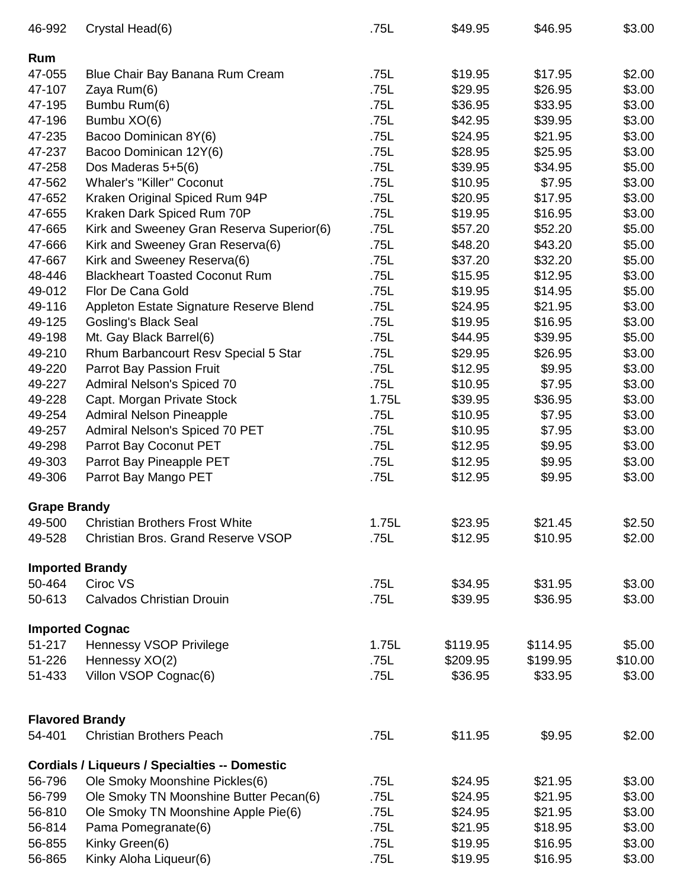| 46-992              | Crystal Head(6)                                            | .75L         | \$49.95            | \$46.95            | \$3.00           |
|---------------------|------------------------------------------------------------|--------------|--------------------|--------------------|------------------|
| Rum                 |                                                            |              |                    |                    |                  |
| 47-055              | Blue Chair Bay Banana Rum Cream                            | .75L         | \$19.95            | \$17.95            | \$2.00           |
| 47-107              | Zaya Rum(6)                                                | .75L         | \$29.95            | \$26.95            | \$3.00           |
| 47-195              | Bumbu Rum(6)                                               | .75L         | \$36.95            | \$33.95            | \$3.00           |
| 47-196              | Bumbu XO(6)                                                | .75L         | \$42.95            | \$39.95            | \$3.00           |
| 47-235              | Bacoo Dominican 8Y(6)                                      | .75L         | \$24.95            | \$21.95            | \$3.00           |
| 47-237              | Bacoo Dominican 12Y(6)                                     | .75L         | \$28.95            | \$25.95            | \$3.00           |
| 47-258              | Dos Maderas 5+5(6)                                         | .75L         | \$39.95            | \$34.95            | \$5.00           |
| 47-562              | <b>Whaler's "Killer" Coconut</b>                           | .75L         | \$10.95            | \$7.95             | \$3.00           |
| 47-652              | Kraken Original Spiced Rum 94P                             | .75L         | \$20.95            | \$17.95            | \$3.00           |
| 47-655              | Kraken Dark Spiced Rum 70P                                 | .75L         | \$19.95            | \$16.95            | \$3.00           |
| 47-665              | Kirk and Sweeney Gran Reserva Superior(6)                  | .75L         | \$57.20            | \$52.20            | \$5.00           |
| 47-666              | Kirk and Sweeney Gran Reserva(6)                           | .75L         | \$48.20            | \$43.20            | \$5.00           |
| 47-667              | Kirk and Sweeney Reserva(6)                                | .75L         | \$37.20            | \$32.20            | \$5.00           |
| 48-446              | <b>Blackheart Toasted Coconut Rum</b>                      | .75L         | \$15.95            | \$12.95            | \$3.00           |
| 49-012              | Flor De Cana Gold                                          | .75L         | \$19.95            | \$14.95            | \$5.00           |
| 49-116              | Appleton Estate Signature Reserve Blend                    | .75L         | \$24.95            | \$21.95            | \$3.00           |
| 49-125              | <b>Gosling's Black Seal</b>                                | .75L         | \$19.95            | \$16.95            | \$3.00           |
| 49-198              | Mt. Gay Black Barrel(6)                                    | .75L         | \$44.95            | \$39.95            | \$5.00           |
| 49-210              | Rhum Barbancourt Resv Special 5 Star                       | .75L         | \$29.95            | \$26.95            | \$3.00           |
| 49-220              | Parrot Bay Passion Fruit                                   | .75L         | \$12.95            | \$9.95             | \$3.00           |
| 49-227              | Admiral Nelson's Spiced 70                                 | .75L         | \$10.95            | \$7.95             | \$3.00           |
| 49-228              | Capt. Morgan Private Stock                                 | 1.75L        | \$39.95            | \$36.95            | \$3.00           |
| 49-254              | <b>Admiral Nelson Pineapple</b>                            | .75L         | \$10.95            | \$7.95             | \$3.00           |
| 49-257              | Admiral Nelson's Spiced 70 PET                             | .75L         | \$10.95            | \$7.95             | \$3.00           |
| 49-298              | Parrot Bay Coconut PET                                     | .75L         | \$12.95            | \$9.95             | \$3.00           |
| 49-303              | Parrot Bay Pineapple PET                                   | .75L         | \$12.95            | \$9.95             | \$3.00           |
| 49-306              | Parrot Bay Mango PET                                       | .75L         | \$12.95            | \$9.95             | \$3.00           |
| <b>Grape Brandy</b> |                                                            |              |                    |                    |                  |
|                     | 49-500 Christian Brothers Frost White                      | 1.75L        | \$23.95            | \$21.45            | \$2.50           |
| 49-528              | <b>Christian Bros. Grand Reserve VSOP</b>                  | .75L         | \$12.95            | \$10.95            | \$2.00           |
|                     | <b>Imported Brandy</b>                                     |              |                    |                    |                  |
| 50-464              | Ciroc VS                                                   | .75L         | \$34.95            | \$31.95            | \$3.00           |
| 50-613              | <b>Calvados Christian Drouin</b>                           | .75L         | \$39.95            | \$36.95            | \$3.00           |
|                     | <b>Imported Cognac</b>                                     |              |                    |                    |                  |
| 51-217              | Hennessy VSOP Privilege                                    | 1.75L        | \$119.95           | \$114.95           | \$5.00           |
| 51-226              | Hennessy XO(2)                                             | .75L         | \$209.95           | \$199.95           | \$10.00          |
| 51-433              | Villon VSOP Cognac(6)                                      | .75L         | \$36.95            | \$33.95            | \$3.00           |
|                     | <b>Flavored Brandy</b>                                     |              |                    |                    |                  |
| 54-401              | <b>Christian Brothers Peach</b>                            | .75L         | \$11.95            | \$9.95             | \$2.00           |
|                     |                                                            |              |                    |                    |                  |
|                     | <b>Cordials / Liqueurs / Specialties -- Domestic</b>       |              |                    |                    |                  |
| 56-796<br>56-799    | Ole Smoky Moonshine Pickles(6)                             | .75L<br>.75L | \$24.95            | \$21.95            | \$3.00           |
| 56-810              | Ole Smoky TN Moonshine Butter Pecan(6)                     |              | \$24.95            | \$21.95            | \$3.00           |
| 56-814              | Ole Smoky TN Moonshine Apple Pie(6)<br>Pama Pomegranate(6) | .75L<br>.75L | \$24.95<br>\$21.95 | \$21.95<br>\$18.95 | \$3.00<br>\$3.00 |
| 56-855              | Kinky Green(6)                                             | .75L         | \$19.95            | \$16.95            | \$3.00           |
| 56-865              | Kinky Aloha Liqueur(6)                                     | .75L         | \$19.95            | \$16.95            | \$3.00           |
|                     |                                                            |              |                    |                    |                  |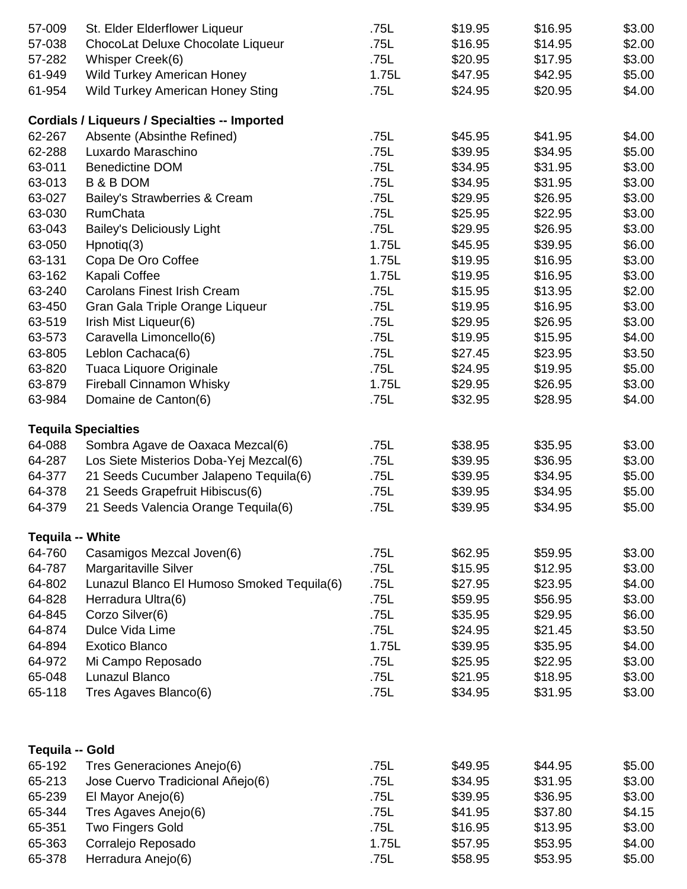| 57-009                  | St. Elder Elderflower Liqueur                        | .75L  | \$19.95 | \$16.95 | \$3.00 |
|-------------------------|------------------------------------------------------|-------|---------|---------|--------|
| 57-038                  | ChocoLat Deluxe Chocolate Liqueur                    | .75L  | \$16.95 | \$14.95 | \$2.00 |
| 57-282                  | Whisper Creek(6)                                     | .75L  | \$20.95 | \$17.95 | \$3.00 |
| 61-949                  | <b>Wild Turkey American Honey</b>                    | 1.75L | \$47.95 | \$42.95 | \$5.00 |
| 61-954                  | <b>Wild Turkey American Honey Sting</b>              | .75L  | \$24.95 | \$20.95 | \$4.00 |
|                         |                                                      |       |         |         |        |
|                         | <b>Cordials / Liqueurs / Specialties -- Imported</b> |       |         |         |        |
| 62-267                  | Absente (Absinthe Refined)                           | .75L  | \$45.95 | \$41.95 | \$4.00 |
| 62-288                  | Luxardo Maraschino                                   | .75L  | \$39.95 | \$34.95 | \$5.00 |
| 63-011                  | <b>Benedictine DOM</b>                               | .75L  | \$34.95 | \$31.95 | \$3.00 |
| 63-013                  | <b>B &amp; B DOM</b>                                 | .75L  | \$34.95 | \$31.95 | \$3.00 |
| 63-027                  | Bailey's Strawberries & Cream                        | .75L  | \$29.95 | \$26.95 | \$3.00 |
| 63-030                  | <b>RumChata</b>                                      | .75L  | \$25.95 | \$22.95 | \$3.00 |
| 63-043                  | <b>Bailey's Deliciously Light</b>                    | .75L  | \$29.95 | \$26.95 | \$3.00 |
| 63-050                  | $H$ pnotiq $(3)$                                     | 1.75L | \$45.95 | \$39.95 | \$6.00 |
| 63-131                  | Copa De Oro Coffee                                   | 1.75L | \$19.95 | \$16.95 | \$3.00 |
| 63-162                  | Kapali Coffee                                        | 1.75L | \$19.95 | \$16.95 | \$3.00 |
| 63-240                  | <b>Carolans Finest Irish Cream</b>                   | .75L  | \$15.95 | \$13.95 | \$2.00 |
| 63-450                  | Gran Gala Triple Orange Liqueur                      | .75L  | \$19.95 | \$16.95 | \$3.00 |
| 63-519                  | Irish Mist Liqueur(6)                                | .75L  | \$29.95 | \$26.95 | \$3.00 |
| 63-573                  | Caravella Limoncello(6)                              | .75L  | \$19.95 | \$15.95 | \$4.00 |
| 63-805                  | Leblon Cachaca(6)                                    | .75L  | \$27.45 | \$23.95 | \$3.50 |
| 63-820                  | Tuaca Liquore Originale                              | .75L  | \$24.95 | \$19.95 | \$5.00 |
| 63-879                  | <b>Fireball Cinnamon Whisky</b>                      | 1.75L | \$29.95 | \$26.95 | \$3.00 |
| 63-984                  | Domaine de Canton(6)                                 | .75L  | \$32.95 | \$28.95 | \$4.00 |
|                         |                                                      |       |         |         |        |
|                         | <b>Tequila Specialties</b>                           |       |         |         |        |
| 64-088                  | Sombra Agave de Oaxaca Mezcal(6)                     | .75L  | \$38.95 | \$35.95 | \$3.00 |
| 64-287                  | Los Siete Misterios Doba-Yej Mezcal(6)               | .75L  | \$39.95 | \$36.95 | \$3.00 |
| 64-377                  | 21 Seeds Cucumber Jalapeno Tequila(6)                | .75L  | \$39.95 | \$34.95 | \$5.00 |
| 64-378                  | 21 Seeds Grapefruit Hibiscus(6)                      | .75L  | \$39.95 | \$34.95 | \$5.00 |
| 64-379                  | 21 Seeds Valencia Orange Tequila(6)                  | .75L  | \$39.95 | \$34.95 | \$5.00 |
| <b>Tequila -- White</b> |                                                      |       |         |         |        |
| 64-760                  | Casamigos Mezcal Joven(6)                            | .75L  | \$62.95 | \$59.95 | \$3.00 |
| 64-787                  | Margaritaville Silver                                | .75L  | \$15.95 | \$12.95 | \$3.00 |
| 64-802                  | Lunazul Blanco El Humoso Smoked Tequila(6)           | .75L  | \$27.95 | \$23.95 | \$4.00 |
| 64-828                  | Herradura Ultra(6)                                   | .75L  | \$59.95 | \$56.95 | \$3.00 |
| 64-845                  | Corzo Silver(6)                                      | .75L  | \$35.95 | \$29.95 | \$6.00 |
| 64-874                  | Dulce Vida Lime                                      | .75L  | \$24.95 | \$21.45 | \$3.50 |
| 64-894                  | <b>Exotico Blanco</b>                                | 1.75L | \$39.95 | \$35.95 | \$4.00 |
| 64-972                  | Mi Campo Reposado                                    | .75L  | \$25.95 | \$22.95 | \$3.00 |
| 65-048                  | Lunazul Blanco                                       | .75L  | \$21.95 | \$18.95 | \$3.00 |
| 65-118                  | Tres Agaves Blanco(6)                                | .75L  | \$34.95 | \$31.95 | \$3.00 |
|                         |                                                      |       |         |         |        |
|                         |                                                      |       |         |         |        |
| Tequila -- Gold         |                                                      |       |         |         |        |
| 65-192                  | Tres Generaciones Anejo(6)                           | .75L  | \$49.95 | \$44.95 | \$5.00 |
| 65-213                  | Jose Cuervo Tradicional Añejo(6)                     | .75L  | \$34.95 | \$31.95 | \$3.00 |
| 65-239                  | El Mayor Anejo(6)                                    | .75L  | \$39.95 | \$36.95 | \$3.00 |
| 65-344                  | Tres Agaves Anejo(6)                                 | .75L  | \$41.95 | \$37.80 | \$4.15 |
| 65-351                  | <b>Two Fingers Gold</b>                              | .75L  | \$16.95 | \$13.95 | \$3.00 |
| 65-363                  | Corralejo Reposado                                   | 1.75L | \$57.95 | \$53.95 | \$4.00 |
| 65-378                  | Herradura Anejo(6)                                   | .75L  | \$58.95 | \$53.95 | \$5.00 |